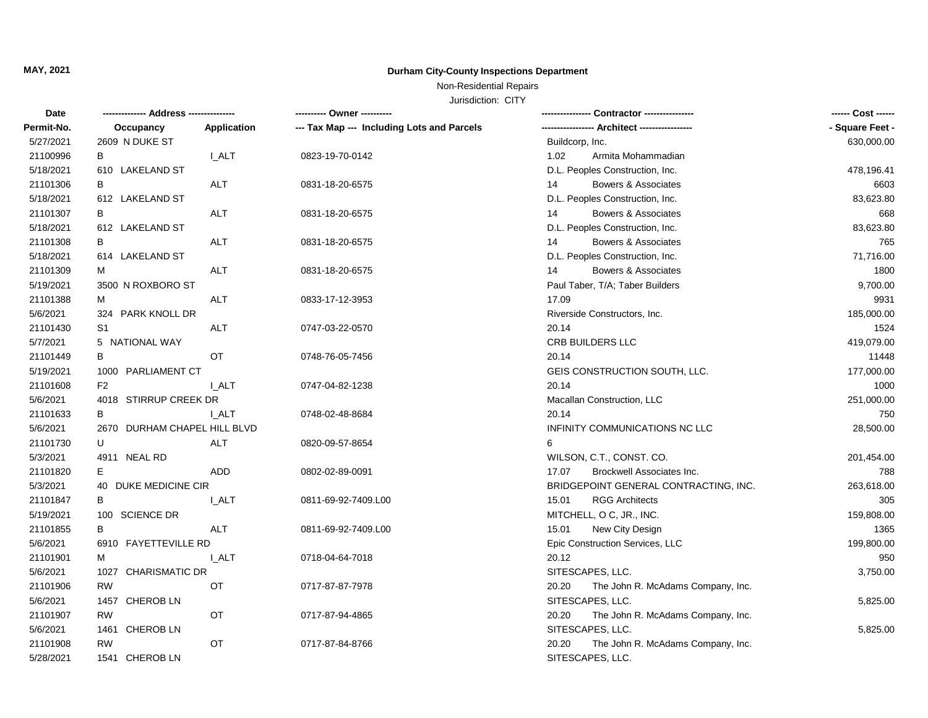# **MAY, 2021 Durham City-County Inspections Department**

Non-Residential Repairs

Jurisdiction: CITY

| Date       |                              |                    | ---------- Owner ----------                |                                            | ------ Cost ------ |
|------------|------------------------------|--------------------|--------------------------------------------|--------------------------------------------|--------------------|
| Permit-No. | Occupancy                    | <b>Application</b> | --- Tax Map --- Including Lots and Parcels |                                            | - Square Feet -    |
| 5/27/2021  | 2609 N DUKE ST               |                    |                                            | Buildcorp, Inc.                            | 630,000.00         |
| 21100996   | В                            | <b>I_ALT</b>       | 0823-19-70-0142                            | 1.02<br>Armita Mohammadian                 |                    |
| 5/18/2021  | 610 LAKELAND ST              |                    |                                            | D.L. Peoples Construction, Inc.            | 478,196.41         |
| 21101306   | В                            | <b>ALT</b>         | 0831-18-20-6575                            | Bowers & Associates<br>14                  | 6603               |
| 5/18/2021  | 612 LAKELAND ST              |                    |                                            | D.L. Peoples Construction, Inc.            | 83,623.80          |
| 21101307   | В                            | <b>ALT</b>         | 0831-18-20-6575                            | Bowers & Associates<br>14                  | 668                |
| 5/18/2021  | 612 LAKELAND ST              |                    |                                            | D.L. Peoples Construction, Inc.            | 83,623.80          |
| 21101308   | В                            | ALT                | 0831-18-20-6575                            | 14<br>Bowers & Associates                  | 765                |
| 5/18/2021  | 614 LAKELAND ST              |                    |                                            | D.L. Peoples Construction, Inc.            | 71,716.00          |
| 21101309   | м                            | ALT                | 0831-18-20-6575                            | Bowers & Associates<br>14                  | 1800               |
| 5/19/2021  | 3500 N ROXBORO ST            |                    |                                            | Paul Taber, T/A; Taber Builders            | 9,700.00           |
| 21101388   | М                            | <b>ALT</b>         | 0833-17-12-3953                            | 17.09                                      | 9931               |
| 5/6/2021   | 324 PARK KNOLL DR            |                    |                                            | Riverside Constructors, Inc.               | 185,000.00         |
| 21101430   | S <sub>1</sub>               | <b>ALT</b>         | 0747-03-22-0570                            | 20.14                                      | 1524               |
| 5/7/2021   | 5 NATIONAL WAY               |                    |                                            | CRB BUILDERS LLC                           | 419,079.00         |
| 21101449   | В                            | OT                 | 0748-76-05-7456                            | 20.14                                      | 11448              |
| 5/19/2021  | 1000 PARLIAMENT CT           |                    |                                            | GEIS CONSTRUCTION SOUTH, LLC.              | 177,000.00         |
| 21101608   | F2                           | I ALT              | 0747-04-82-1238                            | 20.14                                      | 1000               |
| 5/6/2021   | 4018 STIRRUP CREEK DR        |                    |                                            | Macallan Construction, LLC                 | 251,000.00         |
| 21101633   | B                            | I ALT              | 0748-02-48-8684                            | 20.14                                      | 750                |
| 5/6/2021   | 2670 DURHAM CHAPEL HILL BLVD |                    |                                            | INFINITY COMMUNICATIONS NC LLC             | 28,500.00          |
| 21101730   | U                            | <b>ALT</b>         | 0820-09-57-8654                            | 6                                          |                    |
| 5/3/2021   | 4911 NEAL RD                 |                    |                                            | WILSON, C.T., CONST. CO.                   | 201,454.00         |
| 21101820   | Е                            | ADD                | 0802-02-89-0091                            | 17.07<br>Brockwell Associates Inc.         | 788                |
| 5/3/2021   | 40 DUKE MEDICINE CIR         |                    |                                            | BRIDGEPOINT GENERAL CONTRACTING, INC.      | 263,618.00         |
| 21101847   | B                            | I ALT              | 0811-69-92-7409.L00                        | 15.01<br><b>RGG Architects</b>             | 305                |
| 5/19/2021  | 100 SCIENCE DR               |                    |                                            | MITCHELL, O C, JR., INC.                   | 159,808.00         |
| 21101855   | B                            | ALT                | 0811-69-92-7409.L00                        | 15.01<br>New City Design                   | 1365               |
| 5/6/2021   | 6910 FAYETTEVILLE RD         |                    |                                            | Epic Construction Services, LLC            | 199,800.00         |
| 21101901   | М                            | <b>L_ALT</b>       | 0718-04-64-7018                            | 20.12                                      | 950                |
| 5/6/2021   | 1027 CHARISMATIC DR          |                    |                                            | SITESCAPES, LLC.                           | 3,750.00           |
| 21101906   | <b>RW</b>                    | OT                 | 0717-87-87-7978                            | 20.20<br>The John R. McAdams Company, Inc. |                    |
| 5/6/2021   | 1457 CHEROB LN               |                    |                                            | SITESCAPES, LLC.                           | 5,825.00           |
| 21101907   | RW                           | OT                 | 0717-87-94-4865                            | 20.20<br>The John R. McAdams Company, Inc. |                    |
| 5/6/2021   | 1461 CHEROB LN               |                    |                                            | SITESCAPES, LLC.                           | 5,825.00           |
| 21101908   | RW                           | OT                 | 0717-87-84-8766                            | 20.20<br>The John R. McAdams Company, Inc. |                    |
| 5/28/2021  | 1541 CHEROB LN               |                    |                                            | SITESCAPES, LLC.                           |                    |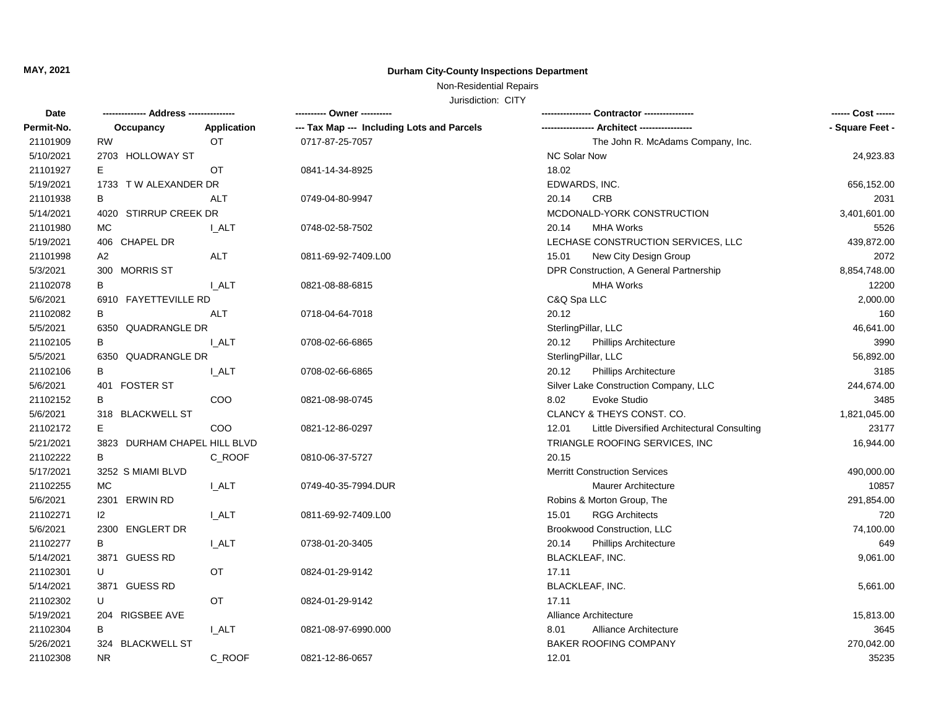# **MAY, 2021 Durham City-County Inspections Department**

## Non-Residential Repairs

Jurisdiction: CITY

| Date       | ---- Address ----            |              |                                            | Contractor ---------------                           | ------ Cost ------ |
|------------|------------------------------|--------------|--------------------------------------------|------------------------------------------------------|--------------------|
| Permit-No. | Occupancy                    | Application  | --- Tax Map --- Including Lots and Parcels |                                                      | - Square Feet -    |
| 21101909   | <b>RW</b>                    | <b>OT</b>    | 0717-87-25-7057                            | The John R. McAdams Company, Inc.                    |                    |
| 5/10/2021  | 2703 HOLLOWAY ST             |              |                                            | <b>NC Solar Now</b>                                  | 24,923.83          |
| 21101927   | Е                            | OT           | 0841-14-34-8925                            | 18.02                                                |                    |
| 5/19/2021  | 1733 T W ALEXANDER DR        |              |                                            | EDWARDS, INC.                                        | 656,152.00         |
| 21101938   | В                            | <b>ALT</b>   | 0749-04-80-9947                            | CRB<br>20.14                                         | 2031               |
| 5/14/2021  | 4020 STIRRUP CREEK DR        |              |                                            | MCDONALD-YORK CONSTRUCTION                           | 3,401,601.00       |
| 21101980   | МC                           | I ALT        | 0748-02-58-7502                            | <b>MHA Works</b><br>20.14                            | 5526               |
| 5/19/2021  | 406 CHAPEL DR                |              |                                            | LECHASE CONSTRUCTION SERVICES, LLC                   | 439,872.00         |
| 21101998   | A2                           | <b>ALT</b>   | 0811-69-92-7409.L00                        | New City Design Group<br>15.01                       | 2072               |
| 5/3/2021   | 300 MORRIS ST                |              |                                            | DPR Construction, A General Partnership              | 8,854,748.00       |
| 21102078   | В                            | I ALT        | 0821-08-88-6815                            | <b>MHA Works</b>                                     | 12200              |
| 5/6/2021   | 6910 FAYETTEVILLE RD         |              |                                            | C&Q Spa LLC                                          | 2,000.00           |
| 21102082   | B                            | <b>ALT</b>   | 0718-04-64-7018                            | 20.12                                                | 160                |
| 5/5/2021   | 6350 QUADRANGLE DR           |              |                                            | SterlingPillar, LLC                                  | 46,641.00          |
| 21102105   | В                            | I ALT        | 0708-02-66-6865                            | 20.12<br><b>Phillips Architecture</b>                | 3990               |
| 5/5/2021   | 6350 QUADRANGLE DR           |              |                                            | SterlingPillar, LLC                                  | 56,892.00          |
| 21102106   | В                            | I ALT        | 0708-02-66-6865                            | 20.12<br><b>Phillips Architecture</b>                | 3185               |
| 5/6/2021   | 401 FOSTER ST                |              |                                            | Silver Lake Construction Company, LLC                | 244,674.00         |
| 21102152   | B                            | COO          | 0821-08-98-0745                            | Evoke Studio<br>8.02                                 | 3485               |
| 5/6/2021   | 318 BLACKWELL ST             |              |                                            | CLANCY & THEYS CONST. CO.                            | 1,821,045.00       |
| 21102172   | Е                            | COO          | 0821-12-86-0297                            | Little Diversified Architectural Consulting<br>12.01 | 23177              |
| 5/21/2021  | 3823 DURHAM CHAPEL HILL BLVD |              |                                            | TRIANGLE ROOFING SERVICES, INC                       | 16,944.00          |
| 21102222   | В                            | C ROOF       | 0810-06-37-5727                            | 20.15                                                |                    |
| 5/17/2021  | 3252 S MIAMI BLVD            |              |                                            | <b>Merritt Construction Services</b>                 | 490,000.00         |
| 21102255   | МC                           | I ALT        | 0749-40-35-7994.DUR                        | <b>Maurer Architecture</b>                           | 10857              |
| 5/6/2021   | 2301 ERWIN RD                |              |                                            | Robins & Morton Group, The                           | 291,854.00         |
| 21102271   | 12                           | <b>I_ALT</b> | 0811-69-92-7409.L00                        | 15.01<br><b>RGG Architects</b>                       | 720                |
| 5/6/2021   | 2300 ENGLERT DR              |              |                                            | Brookwood Construction, LLC                          | 74,100.00          |
| 21102277   | В                            | <b>I_ALT</b> | 0738-01-20-3405                            | 20.14<br><b>Phillips Architecture</b>                | 649                |
| 5/14/2021  | 3871 GUESS RD                |              |                                            | BLACKLEAF, INC.                                      | 9,061.00           |
| 21102301   | U                            | OT           | 0824-01-29-9142                            | 17.11                                                |                    |
| 5/14/2021  | 3871 GUESS RD                |              |                                            | BLACKLEAF, INC.                                      | 5,661.00           |
| 21102302   | U                            | OT           | 0824-01-29-9142                            | 17.11                                                |                    |
| 5/19/2021  | 204 RIGSBEE AVE              |              |                                            | Alliance Architecture                                | 15,813.00          |
| 21102304   | В                            | <b>I_ALT</b> | 0821-08-97-6990.000                        | 8.01<br>Alliance Architecture                        | 3645               |
| 5/26/2021  | 324 BLACKWELL ST             |              |                                            | <b>BAKER ROOFING COMPANY</b>                         | 270,042.00         |
| 21102308   | <b>NR</b>                    | C_ROOF       | 0821-12-86-0657                            | 12.01                                                | 35235              |